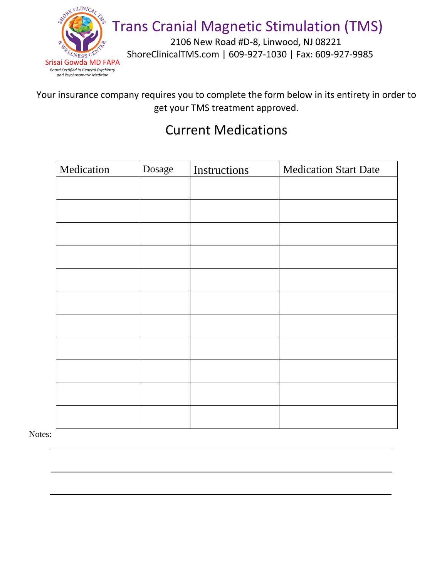

2106 New Road #D-8, Linwood, NJ 08221 ShoreClinicalTMS.com | 609-927-1030 | Fax: 609-927-9985

Your insurance company requires you to complete the form below in its entirety in order to get your TMS treatment approved.

#### Current Medications

| Medication | Dosage | Instructions | <b>Medication Start Date</b> |
|------------|--------|--------------|------------------------------|
|            |        |              |                              |
|            |        |              |                              |
|            |        |              |                              |
|            |        |              |                              |
|            |        |              |                              |
|            |        |              |                              |
|            |        |              |                              |
|            |        |              |                              |
|            |        |              |                              |
|            |        |              |                              |
|            |        |              |                              |
|            |        |              |                              |

Notes: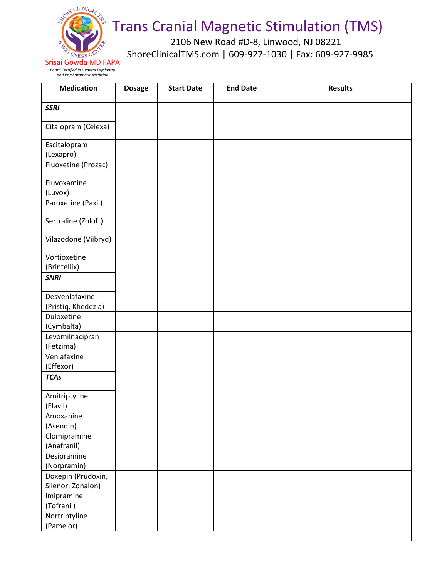

2106 New Road #D-8, Linwood, NJ 08221 ShoreClinicalTMS.com | 609-927-1030 | Fax: 609-927-9985

Srisai Gowda MD FAPA *Board Certified in General Psychiatry and Psychosomatic Medicine*

| <b>Medication</b>                       | <b>Dosage</b> | <b>Start Date</b> | <b>End Date</b> | <b>Results</b> |
|-----------------------------------------|---------------|-------------------|-----------------|----------------|
| <b>SSRI</b>                             |               |                   |                 |                |
| Citalopram (Celexa)                     |               |                   |                 |                |
| Escitalopram<br>(Lexapro)               |               |                   |                 |                |
| Fluoxetine (Prozac)                     |               |                   |                 |                |
| Fluvoxamine<br>(Luvox)                  |               |                   |                 |                |
| Paroxetine (Paxil)                      |               |                   |                 |                |
| Sertraline (Zoloft)                     |               |                   |                 |                |
| Vilazodone (Viibryd)                    |               |                   |                 |                |
| Vortioxetine<br>(Brintellix)            |               |                   |                 |                |
| <b>SNRI</b>                             |               |                   |                 |                |
| Desvenlafaxine<br>(Pristiq, Khedezla)   |               |                   |                 |                |
| Duloxetine<br>(Cymbalta)                |               |                   |                 |                |
| Levomilnacipran<br>(Fetzima)            |               |                   |                 |                |
| Venlafaxine<br>(Effexor)                |               |                   |                 |                |
| <b>TCAs</b>                             |               |                   |                 |                |
| Amitriptyline<br>(Elavil)               |               |                   |                 |                |
| Amoxapine<br>(Asendin)                  |               |                   |                 |                |
| Clomipramine<br>(Anafranil)             |               |                   |                 |                |
| Desipramine<br>(Norpramin)              |               |                   |                 |                |
| Doxepin (Prudoxin,<br>Silenor, Zonalon) |               |                   |                 |                |
| Imipramine<br>(Tofranil)                |               |                   |                 |                |
| Nortriptyline<br>(Pamelor)              |               |                   |                 |                |
|                                         |               |                   |                 |                |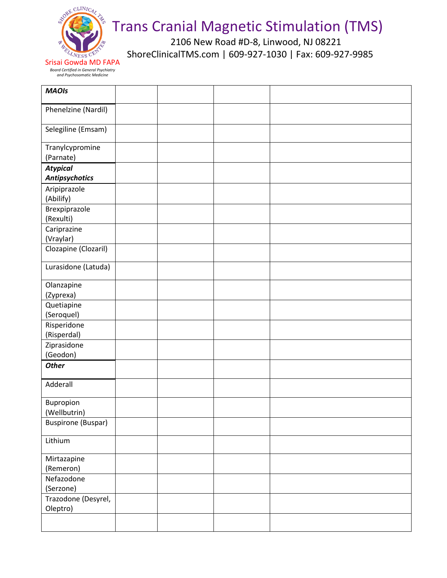

2106 New Road #D-8, Linwood, NJ 08221 ShoreClinicalTMS.com | 609-927-1030 | Fax: 609-927-9985

Srisai Gowda MD FAPA *Board Certified in General Psychiatry and Psychosomatic Medicine*

| <b>MAOIs</b>                             |  |  |
|------------------------------------------|--|--|
| Phenelzine (Nardil)                      |  |  |
| Selegiline (Emsam)                       |  |  |
| Tranylcypromine<br>(Parnate)             |  |  |
| <b>Atypical</b><br><b>Antipsychotics</b> |  |  |
| Aripiprazole<br>(Abilify)                |  |  |
| Brexpiprazole<br>(Rexulti)               |  |  |
| Cariprazine<br>(Vraylar)                 |  |  |
| Clozapine (Clozaril)                     |  |  |
| Lurasidone (Latuda)                      |  |  |
| Olanzapine<br>(Zyprexa)                  |  |  |
| Quetiapine<br>(Seroquel)                 |  |  |
| Risperidone<br>(Risperdal)               |  |  |
| Ziprasidone<br>(Geodon)                  |  |  |
| <b>Other</b>                             |  |  |
| Adderall                                 |  |  |
| Bupropion<br>(Wellbutrin)                |  |  |
| <b>Buspirone (Buspar)</b>                |  |  |
| Lithium                                  |  |  |
| Mirtazapine<br>(Remeron)                 |  |  |
| Nefazodone<br>(Serzone)                  |  |  |
| Trazodone (Desyrel,<br>Oleptro)          |  |  |
|                                          |  |  |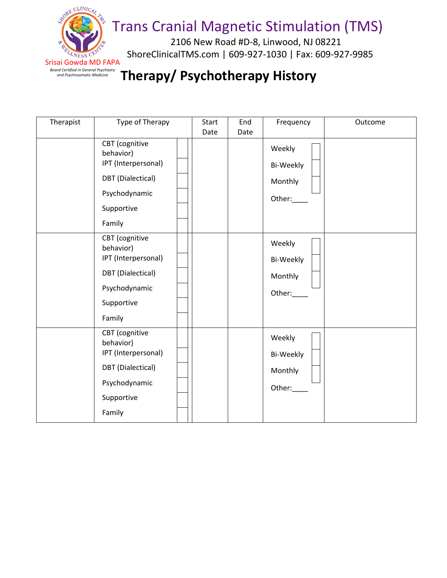

2106 New Road #D-8, Linwood, NJ 08221 ShoreClinicalTMS.com | 609-927-1030 | Fax: 609-927-9985

### *and Psychosomatic Medicine* **Therapy/ Psychotherapy History**

| Therapist | Type of Therapy                                                                                                         | Start | End  | Frequency                                | Outcome |
|-----------|-------------------------------------------------------------------------------------------------------------------------|-------|------|------------------------------------------|---------|
|           |                                                                                                                         | Date  | Date |                                          |         |
|           | CBT (cognitive<br>behavior)<br>IPT (Interpersonal)<br>DBT (Dialectical)<br>Psychodynamic<br>Supportive<br>Family        |       |      | Weekly<br>Bi-Weekly<br>Monthly<br>Other: |         |
|           | CBT (cognitive<br>behavior)<br>IPT (Interpersonal)<br><b>DBT</b> (Dialectical)<br>Psychodynamic<br>Supportive<br>Family |       |      | Weekly<br>Bi-Weekly<br>Monthly<br>Other: |         |
|           | CBT (cognitive<br>behavior)<br>IPT (Interpersonal)<br><b>DBT</b> (Dialectical)<br>Psychodynamic<br>Supportive<br>Family |       |      | Weekly<br>Bi-Weekly<br>Monthly<br>Other: |         |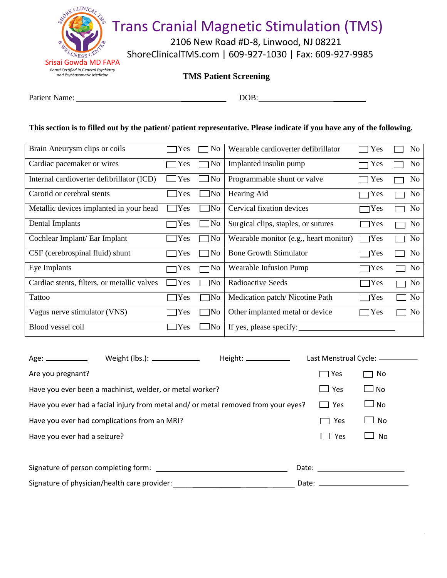

2106 New Road #D-8, Linwood, NJ 08221 ShoreClinicalTMS.com | 609-927-1030 | Fax: 609-927-9985

| <b>TMS Patient Screening</b> |  |  |
|------------------------------|--|--|
|------------------------------|--|--|

Patient Name: DOB: DOB:

#### **This section is to filled out by the patient/ patient representative. Please indicate if you have any of the following.**

| Brain Aneurysm clips or coils               | Yes           | N <sub>0</sub> | Wearable cardioverter defibrillator    | Yes           | No.            |
|---------------------------------------------|---------------|----------------|----------------------------------------|---------------|----------------|
| Cardiac pacemaker or wires                  | Yes           | N <sub>0</sub> | Implanted insulin pump                 | Yes           | N <sub>0</sub> |
| Internal cardioverter defibrillator (ICD)   | <b>Yes</b>    | No             | Programmable shunt or valve            | Yes<br>$\sim$ | N <sub>0</sub> |
| Carotid or cerebral stents                  | 7Yes          | $\Box$ No      | Hearing Aid                            | Yes           | N <sub>o</sub> |
| Metallic devices implanted in your head     | $\exists$ Yes | ]No            | Cervical fixation devices              | ∣Yes          | N <sub>o</sub> |
| Dental Implants                             | Yes           | No             | Surgical clips, staples, or sutures    | $\bigcap$ Yes | No             |
| Cochlear Implant/ Ear Implant               | Yes           | No             | Wearable monitor (e.g., heart monitor) | 7Yes          | N <sub>0</sub> |
| CSF (cerebrospinal fluid) shunt             | Yes           | No             | <b>Bone Growth Stimulator</b>          | $\neg$ Yes    | N <sub>o</sub> |
| Eye Implants                                | Yes           | No             | <b>Wearable Infusion Pump</b>          | $\neg$ Yes    | No             |
| Cardiac stents, filters, or metallic valves | Yes           | No             | <b>Radioactive Seeds</b>               | $\neg$ Yes    | No             |
| Tattoo                                      | Yes           | 7No            | Medication patch/Nicotine Path         | $\neg$ Yes    | No             |
| Vagus nerve stimulator (VNS)                | Yes           | No             | Other implanted metal or device        | $\neg$ Yes    | N <sub>o</sub> |
| Blood vessel coil                           | Yes           | $\Box$ No      | If yes, please specify:                |               |                |

| Weight (lbs.): ______________<br>Age: _____________                                |                                                                                                                                                                                                                                | Last Menstrual Cycle: _________ |
|------------------------------------------------------------------------------------|--------------------------------------------------------------------------------------------------------------------------------------------------------------------------------------------------------------------------------|---------------------------------|
| Are you pregnant?                                                                  | Yes<br>$\sim 10$                                                                                                                                                                                                               | No                              |
| Have you ever been a machinist, welder, or metal worker?                           | $\Box$ Yes                                                                                                                                                                                                                     | l No                            |
| Have you ever had a facial injury from metal and/ or metal removed from your eyes? | Yes<br>$\mathbf{I}$                                                                                                                                                                                                            | $\Box$ No                       |
| Have you ever had complications from an MRI?                                       | Yes                                                                                                                                                                                                                            | No                              |
| Have you ever had a seizure?                                                       | Yes                                                                                                                                                                                                                            | <b>No</b>                       |
|                                                                                    |                                                                                                                                                                                                                                |                                 |
|                                                                                    | Date: the contract of the contract of the contract of the contract of the contract of the contract of the contract of the contract of the contract of the contract of the contract of the contract of the contract of the cont |                                 |
| Signature of physician/health care provider:                                       |                                                                                                                                                                                                                                |                                 |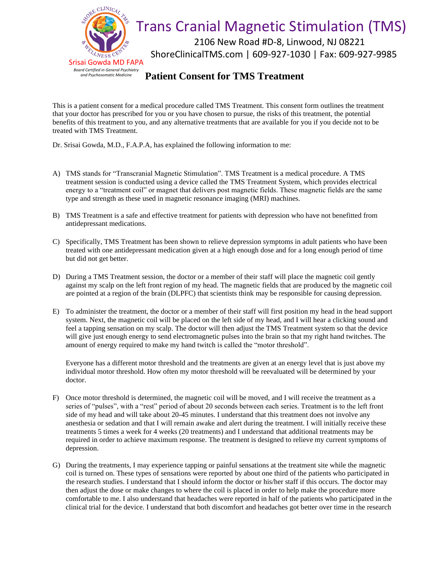

2106 New Road #D-8, Linwood, NJ 08221 ShoreClinicalTMS.com | 609-927-1030 | Fax: 609-927-9985

#### **Patient Consent for TMS Treatment**

This is a patient consent for a medical procedure called TMS Treatment. This consent form outlines the treatment that your doctor has prescribed for you or you have chosen to pursue, the risks of this treatment, the potential benefits of this treatment to you, and any alternative treatments that are available for you if you decide not to be treated with TMS Treatment.

Dr. Srisai Gowda, M.D., F.A.P.A, has explained the following information to me:

- A) TMS stands for "Transcranial Magnetic Stimulation". TMS Treatment is a medical procedure. A TMS treatment session is conducted using a device called the TMS Treatment System, which provides electrical energy to a "treatment coil" or magnet that delivers post magnetic fields. These magnetic fields are the same type and strength as these used in magnetic resonance imaging (MRI) machines.
- B) TMS Treatment is a safe and effective treatment for patients with depression who have not benefitted from antidepressant medications.
- C) Specifically, TMS Treatment has been shown to relieve depression symptoms in adult patients who have been treated with one antidepressant medication given at a high enough dose and for a long enough period of time but did not get better.
- D) During a TMS Treatment session, the doctor or a member of their staff will place the magnetic coil gently against my scalp on the left front region of my head. The magnetic fields that are produced by the magnetic coil are pointed at a region of the brain (DLPFC) that scientists think may be responsible for causing depression.
- E) To administer the treatment, the doctor or a member of their staff will first position my head in the head support system. Next, the magnetic coil will be placed on the left side of my head, and I will hear a clicking sound and feel a tapping sensation on my scalp. The doctor will then adjust the TMS Treatment system so that the device will give just enough energy to send electromagnetic pulses into the brain so that my right hand twitches. The amount of energy required to make my hand twitch is called the "motor threshold".

Everyone has a different motor threshold and the treatments are given at an energy level that is just above my individual motor threshold. How often my motor threshold will be reevaluated will be determined by your doctor.

- F) Once motor threshold is determined, the magnetic coil will be moved, and I will receive the treatment as a series of "pulses", with a "rest" period of about 20 seconds between each series. Treatment is to the left front side of my head and will take about 20-45 minutes. I understand that this treatment does not involve any anesthesia or sedation and that I will remain awake and alert during the treatment. I will initially receive these treatments 5 times a week for 4 weeks (20 treatments) and I understand that additional treatments may be required in order to achieve maximum response. The treatment is designed to relieve my current symptoms of depression.
- G) During the treatments, I may experience tapping or painful sensations at the treatment site while the magnetic coil is turned on. These types of sensations were reported by about one third of the patients who participated in the research studies. I understand that I should inform the doctor or his/her staff if this occurs. The doctor may then adjust the dose or make changes to where the coil is placed in order to help make the procedure more comfortable to me. I also understand that headaches were reported in half of the patients who participated in the clinical trial for the device. I understand that both discomfort and headaches got better over time in the research